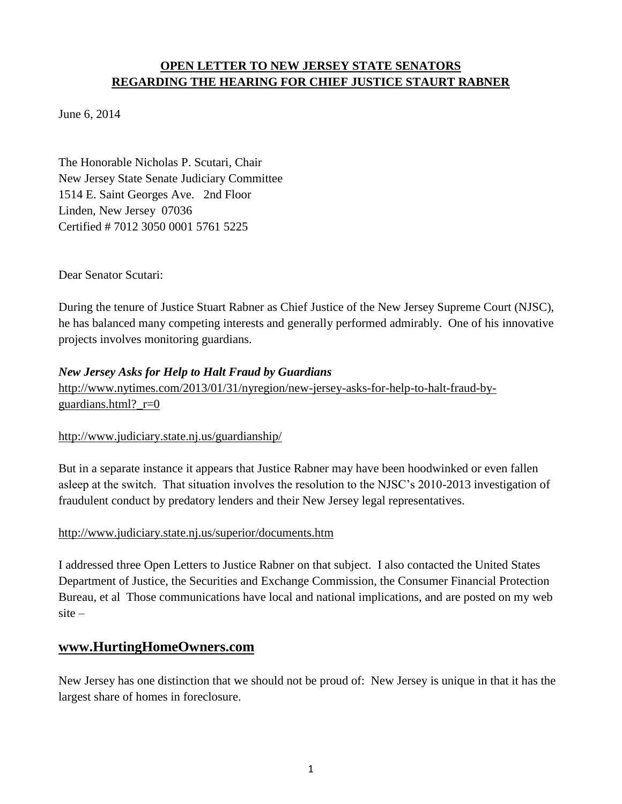## **OPEN LETTER TO NEW JERSEY STATE SENATORS REGARDING THE HEARING FOR CHIEF JUSTICE STAURT RABNER**

June 6, 2014

The Honorable Nicholas P. Scutari, Chair New Jersey State Senate Judiciary Committee 1514 E. Saint Georges Ave. 2nd Floor Linden, New Jersey 07036 Certified # 7012 3050 0001 5761 5225

Dear Senator Scutari:

During the tenure of Justice Stuart Rabner as Chief Justice of the New Jersey Supreme Court (NJSC), he has balanced many competing interests and generally performed admirably. One of his innovative projects involves monitoring guardians.

## *New Jersey Asks for Help to Halt Fraud by Guardians*

[http://www.nytimes.com/2013/01/31/nyregion/new-jersey-asks-for-help-to-halt-fraud-by](http://www.nytimes.com/2013/01/31/nyregion/new-jersey-asks-for-help-to-halt-fraud-by-guardians.html?_r=0)[guardians.html?\\_r=0](http://www.nytimes.com/2013/01/31/nyregion/new-jersey-asks-for-help-to-halt-fraud-by-guardians.html?_r=0)

## <http://www.judiciary.state.nj.us/guardianship/>

But in a separate instance it appears that Justice Rabner may have been hoodwinked or even fallen asleep at the switch. That situation involves the resolution to the NJSC's 2010-2013 investigation of fraudulent conduct by predatory lenders and their New Jersey legal representatives.

#### <http://www.judiciary.state.nj.us/superior/documents.htm>

I addressed three Open Letters to Justice Rabner on that subject. I also contacted the United States Department of Justice, the Securities and Exchange Commission, the Consumer Financial Protection Bureau, et al Those communications have local and national implications, and are posted on my web site –

# **[www.HurtingHomeOwners.com](http://www.hurtinghomeowners.com/)**

New Jersey has one distinction that we should not be proud of: New Jersey is unique in that it has the largest share of homes in foreclosure.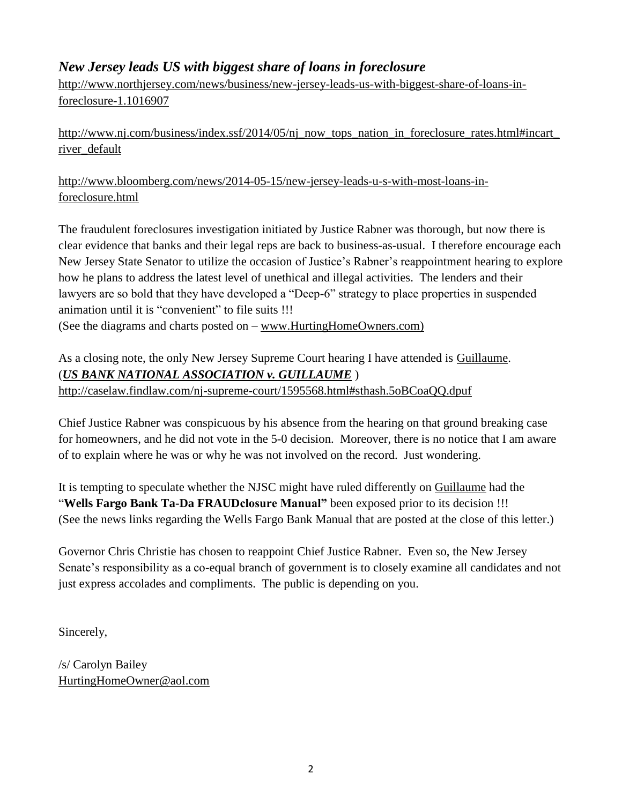# *New Jersey leads US with biggest share of loans in foreclosure*

[http://www.northjersey.com/news/business/new-jersey-leads-us-with-biggest-share-of-loans-in](http://www.northjersey.com/news/business/new-jersey-leads-us-with-biggest-share-of-loans-in-foreclosure-1.1016907)[foreclosure-1.1016907](http://www.northjersey.com/news/business/new-jersey-leads-us-with-biggest-share-of-loans-in-foreclosure-1.1016907)

[http://www.nj.com/business/index.ssf/2014/05/nj\\_now\\_tops\\_nation\\_in\\_foreclosure\\_rates.html#incart\\_](http://www.nj.com/business/index.ssf/2014/05/nj_now_tops_nation_in_foreclosure_rates.html#incart_river_default) [river\\_default](http://www.nj.com/business/index.ssf/2014/05/nj_now_tops_nation_in_foreclosure_rates.html#incart_river_default)

[http://www.bloomberg.com/news/2014-05-15/new-jersey-leads-u-s-with-most-loans-in](http://www.bloomberg.com/news/2014-05-15/new-jersey-leads-u-s-with-most-loans-in-foreclosure.html)[foreclosure.html](http://www.bloomberg.com/news/2014-05-15/new-jersey-leads-u-s-with-most-loans-in-foreclosure.html)

The fraudulent foreclosures investigation initiated by Justice Rabner was thorough, but now there is clear evidence that banks and their legal reps are back to business-as-usual. I therefore encourage each New Jersey State Senator to utilize the occasion of Justice's Rabner's reappointment hearing to explore how he plans to address the latest level of unethical and illegal activities. The lenders and their lawyers are so bold that they have developed a "Deep-6" strategy to place properties in suspended animation until it is "convenient" to file suits !!!

(See the diagrams and charts posted on – [www.HurtingHomeOwners.com\)](http://www.hurtinghomeowners.com/)

As a closing note, the only New Jersey Supreme Court hearing I have attended is Guillaume. (*US BANK NATIONAL ASSOCIATION v. GUILLAUME* ) <http://caselaw.findlaw.com/nj-supreme-court/1595568.html#sthash.5oBCoaQQ.dpuf>

Chief Justice Rabner was conspicuous by his absence from the hearing on that ground breaking case for homeowners, and he did not vote in the 5-0 decision. Moreover, there is no notice that I am aware of to explain where he was or why he was not involved on the record. Just wondering.

It is tempting to speculate whether the NJSC might have ruled differently on Guillaume had the "**Wells Fargo Bank Ta-Da FRAUDclosure Manual"** been exposed prior to its decision !!! (See the news links regarding the Wells Fargo Bank Manual that are posted at the close of this letter.)

Governor Chris Christie has chosen to reappoint Chief Justice Rabner. Even so, the New Jersey Senate's responsibility as a co-equal branch of government is to closely examine all candidates and not just express accolades and compliments. The public is depending on you.

Sincerely,

/s/ Carolyn Bailey [HurtingHomeOwner@aol.com](mailto:HurtingHomeOwner@aol.com)